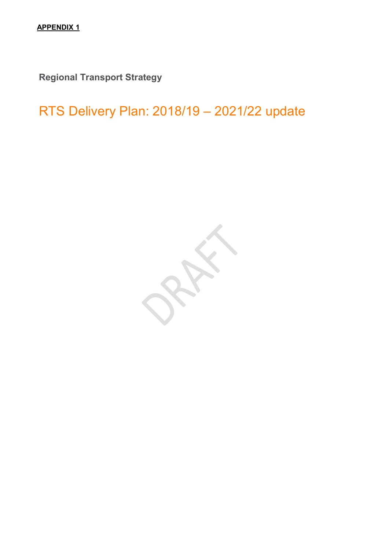**APPENDIX 1**

**Regional Transport Strategy**

RTS Delivery Plan: 2018/19 – 2021/22 update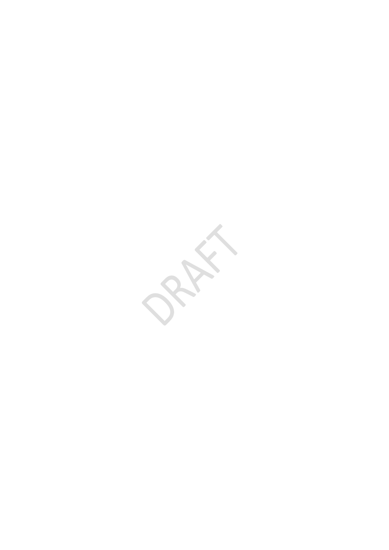SPEN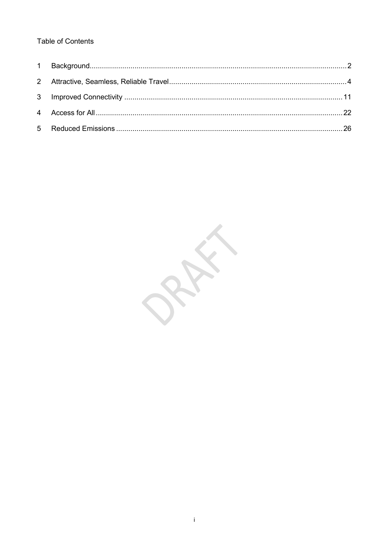#### Table of Contents

 $\rightarrow$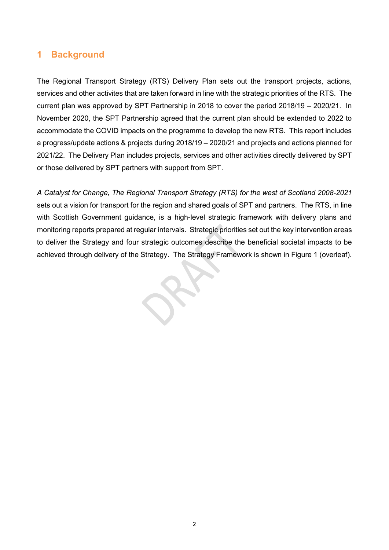#### <span id="page-3-0"></span>**1 Background**

The Regional Transport Strategy (RTS) Delivery Plan sets out the transport projects, actions, services and other activites that are taken forward in line with the strategic priorities of the RTS. The current plan was approved by SPT Partnership in 2018 to cover the period 2018/19 – 2020/21. In November 2020, the SPT Partnership agreed that the current plan should be extended to 2022 to accommodate the COVID impacts on the programme to develop the new RTS. This report includes a progress/update actions & projects during 2018/19 – 2020/21 and projects and actions planned for 2021/22. The Delivery Plan includes projects, services and other activities directly delivered by SPT or those delivered by SPT partners with support from SPT.

*A Catalyst for Change, The Regional Transport Strategy (RTS) for the west of Scotland 2008-2021* sets out a vision for transport for the region and shared goals of SPT and partners. The RTS, in line with Scottish Government guidance, is a high-level strategic framework with delivery plans and monitoring reports prepared at regular intervals. Strategic priorities set out the key intervention areas to deliver the Strategy and four strategic outcomes describe the beneficial societal impacts to be achieved through delivery of the Strategy. The Strategy Framework is shown in Figure 1 (overleaf).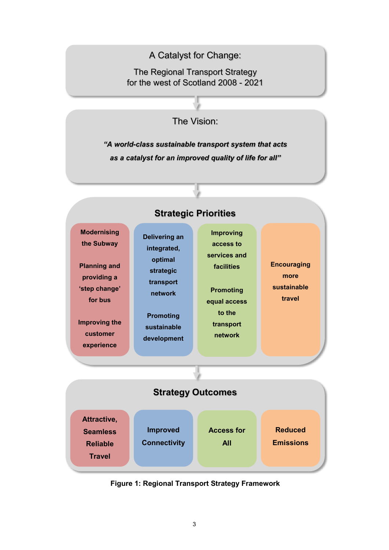

The Regional Transport Strategy for the west of Scotland 2008 - 2021

The Vision:

*"A world-class sustainable transport system that acts as a catalyst for an improved quality of life for all"*



#### **Strategic Priorities**

**Figure 1: Regional Transport Strategy Framework**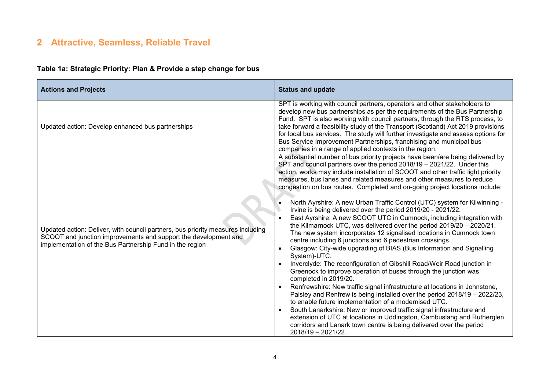## **2 Attractive, Seamless, Reliable Travel**

<span id="page-5-0"></span>

| <b>Actions and Projects</b>                                                                                                                                                                                    | <b>Status and update</b>                                                                                                                                                                                                                                                                                                                                                                                                                                                                                                                                                                                                                                                                                                                                                                                                                                                                                                                                                                                                                                                                                                                                                                                                                                                                                                                                                                                                                                                                                                                                                                                     |
|----------------------------------------------------------------------------------------------------------------------------------------------------------------------------------------------------------------|--------------------------------------------------------------------------------------------------------------------------------------------------------------------------------------------------------------------------------------------------------------------------------------------------------------------------------------------------------------------------------------------------------------------------------------------------------------------------------------------------------------------------------------------------------------------------------------------------------------------------------------------------------------------------------------------------------------------------------------------------------------------------------------------------------------------------------------------------------------------------------------------------------------------------------------------------------------------------------------------------------------------------------------------------------------------------------------------------------------------------------------------------------------------------------------------------------------------------------------------------------------------------------------------------------------------------------------------------------------------------------------------------------------------------------------------------------------------------------------------------------------------------------------------------------------------------------------------------------------|
| Updated action: Develop enhanced bus partnerships                                                                                                                                                              | SPT is working with council partners, operators and other stakeholders to<br>develop new bus partnerships as per the requirements of the Bus Partnership<br>Fund. SPT is also working with council partners, through the RTS process, to<br>take forward a feasibility study of the Transport (Scotland) Act 2019 provisions<br>for local bus services. The study will further investigate and assess options for<br>Bus Service Improvement Partnerships, franchising and municipal bus<br>companies in a range of applied contexts in the region.                                                                                                                                                                                                                                                                                                                                                                                                                                                                                                                                                                                                                                                                                                                                                                                                                                                                                                                                                                                                                                                          |
| Updated action: Deliver, with council partners, bus priority measures including<br>SCOOT and junction improvements and support the development and<br>implementation of the Bus Partnership Fund in the region | A substantial number of bus priority projects have been/are being delivered by<br>SPT and council partners over the period 2018/19 - 2021/22. Under this<br>action, works may include installation of SCOOT and other traffic light priority<br>measures, bus lanes and related measures and other measures to reduce<br>congestion on bus routes. Completed and on-going project locations include:<br>North Ayrshire: A new Urban Traffic Control (UTC) system for Kilwinning -<br>Irvine is being delivered over the period 2019/20 - 2021/22.<br>East Ayrshire: A new SCOOT UTC in Cumnock, including integration with<br>the Kilmarnock UTC, was delivered over the period 2019/20 - 2020/21.<br>The new system incorporates 12 signalised locations in Cumnock town<br>centre including 6 junctions and 6 pedestrian crossings.<br>Glasgow: City-wide upgrading of BIAS (Bus Information and Signalling<br>$\bullet$<br>System)-UTC.<br>Inverclyde: The reconfiguration of Gibshill Road/Weir Road junction in<br>Greenock to improve operation of buses through the junction was<br>completed in 2019/20.<br>Renfrewshire: New traffic signal infrastructure at locations in Johnstone,<br>$\bullet$<br>Paisley and Renfrew is being installed over the period 2018/19 - 2022/23,<br>to enable future implementation of a modernised UTC.<br>South Lanarkshire: New or improved traffic signal infrastructure and<br>$\bullet$<br>extension of UTC at locations in Uddingston, Cambuslang and Rutherglen<br>corridors and Lanark town centre is being delivered over the period<br>2018/19 - 2021/22. |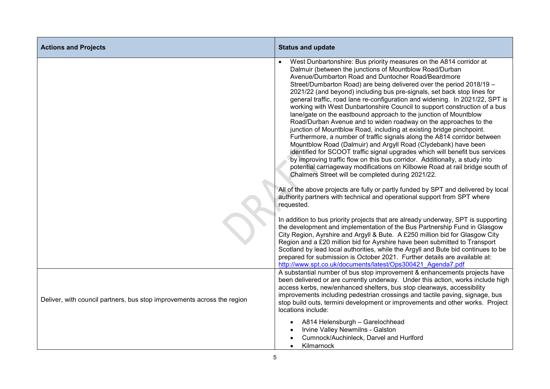| <b>Actions and Projects</b>                                             | <b>Status and update</b>                                                                                                                                                                                                                                                                                                                                                                                                                                                                                                                                                                                                                                                                                                                                                                                                                                                                                                                                                                                                                                                                                                                                                                                                                                                                                                                             |
|-------------------------------------------------------------------------|------------------------------------------------------------------------------------------------------------------------------------------------------------------------------------------------------------------------------------------------------------------------------------------------------------------------------------------------------------------------------------------------------------------------------------------------------------------------------------------------------------------------------------------------------------------------------------------------------------------------------------------------------------------------------------------------------------------------------------------------------------------------------------------------------------------------------------------------------------------------------------------------------------------------------------------------------------------------------------------------------------------------------------------------------------------------------------------------------------------------------------------------------------------------------------------------------------------------------------------------------------------------------------------------------------------------------------------------------|
|                                                                         | West Dunbartonshire: Bus priority measures on the A814 corridor at<br>Dalmuir (between the junctions of Mountblow Road/Durban<br>Avenue/Dumbarton Road and Duntocher Road/Beardmore<br>Street/Dumbarton Road) are being delivered over the period 2018/19 -<br>2021/22 (and beyond) including bus pre-signals, set back stop lines for<br>general traffic, road lane re-configuration and widening. In 2021/22, SPT is<br>working with West Dunbartonshire Council to support construction of a bus<br>lane/gate on the eastbound approach to the junction of Mountblow<br>Road/Durban Avenue and to widen roadway on the approaches to the<br>junction of Mountblow Road, including at existing bridge pinchpoint.<br>Furthermore, a number of traffic signals along the A814 corridor between<br>Mountblow Road (Dalmuir) and Argyll Road (Clydebank) have been<br>identified for SCOOT traffic signal upgrades which will benefit bus services<br>by improving traffic flow on this bus corridor. Additionally, a study into<br>potential carriageway modifications on Kilbowie Road at rail bridge south of<br>Chalmers Street will be completed during 2021/22.<br>All of the above projects are fully or partly funded by SPT and delivered by local<br>authority partners with technical and operational support from SPT where<br>requested. |
|                                                                         | In addition to bus priority projects that are already underway, SPT is supporting<br>the development and implementation of the Bus Partnership Fund in Glasgow<br>City Region, Ayrshire and Argyll & Bute. A £250 million bid for Glasgow City<br>Region and a £20 million bid for Ayrshire have been submitted to Transport<br>Scotland by lead local authorities, while the Argyll and Bute bid continues to be<br>prepared for submission is October 2021. Further details are available at:<br>http://www.spt.co.uk/documents/latest/Ops300421 Agenda7.pdf                                                                                                                                                                                                                                                                                                                                                                                                                                                                                                                                                                                                                                                                                                                                                                                       |
| Deliver, with council partners, bus stop improvements across the region | A substantial number of bus stop improvement & enhancements projects have<br>been delivered or are currently underway. Under this action, works include high<br>access kerbs, new/enhanced shelters, bus stop clearways, accessibility<br>improvements including pedestrian crossings and tactile paving, signage, bus<br>stop build outs, termini development or improvements and other works. Project<br>locations include:                                                                                                                                                                                                                                                                                                                                                                                                                                                                                                                                                                                                                                                                                                                                                                                                                                                                                                                        |
|                                                                         | A814 Helensburgh - Garelochhead<br>Irvine Valley Newmilns - Galston<br>Cumnock/Auchinleck, Darvel and Hurlford<br>Kilmarnock<br>$\bullet$                                                                                                                                                                                                                                                                                                                                                                                                                                                                                                                                                                                                                                                                                                                                                                                                                                                                                                                                                                                                                                                                                                                                                                                                            |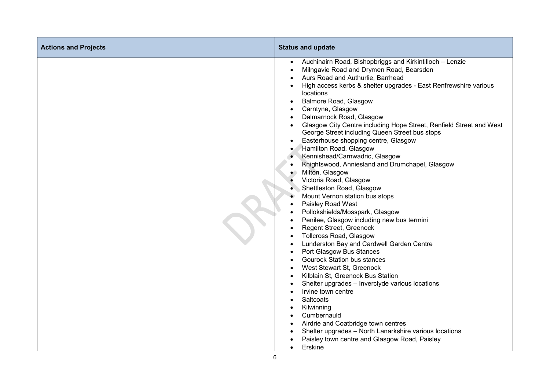| <b>Actions and Projects</b> | <b>Status and update</b>                                                                                                                                                                                                                                                                                                                                                                                                                                                                                                                                                                                                                                                                                                                                                                                                                                                                                                                                                                                                                                                                                                                                                                                                                                                                                                                                                                 |
|-----------------------------|------------------------------------------------------------------------------------------------------------------------------------------------------------------------------------------------------------------------------------------------------------------------------------------------------------------------------------------------------------------------------------------------------------------------------------------------------------------------------------------------------------------------------------------------------------------------------------------------------------------------------------------------------------------------------------------------------------------------------------------------------------------------------------------------------------------------------------------------------------------------------------------------------------------------------------------------------------------------------------------------------------------------------------------------------------------------------------------------------------------------------------------------------------------------------------------------------------------------------------------------------------------------------------------------------------------------------------------------------------------------------------------|
|                             | Auchinairn Road, Bishopbriggs and Kirkintilloch - Lenzie<br>$\bullet$<br>Milngavie Road and Drymen Road, Bearsden<br>Aurs Road and Authurlie, Barrhead<br>High access kerbs & shelter upgrades - East Renfrewshire various<br>locations<br>Balmore Road, Glasgow<br>Carntyne, Glasgow<br>Dalmarnock Road, Glasgow<br>Glasgow City Centre including Hope Street, Renfield Street and West<br>George Street including Queen Street bus stops<br>Easterhouse shopping centre, Glasgow<br>$\bullet$<br>Hamilton Road, Glasgow<br>Kennishead/Carnwadric, Glasgow<br>Knightswood, Anniesland and Drumchapel, Glasgow<br>Milton, Glasgow<br>Victoria Road, Glasgow<br>Shettleston Road, Glasgow<br>Mount Vernon station bus stops<br>Paisley Road West<br>$\bullet$<br>Pollokshields/Mosspark, Glasgow<br>Penilee, Glasgow including new bus termini<br>Regent Street, Greenock<br><b>Tollcross Road, Glasgow</b><br>Lunderston Bay and Cardwell Garden Centre<br>Port Glasgow Bus Stances<br><b>Gourock Station bus stances</b><br>West Stewart St, Greenock<br>Kilblain St, Greenock Bus Station<br>Shelter upgrades - Inverclyde various locations<br>Irvine town centre<br>Saltcoats<br>Kilwinning<br>Cumbernauld<br>Airdrie and Coatbridge town centres<br>Shelter upgrades - North Lanarkshire various locations<br>Paisley town centre and Glasgow Road, Paisley<br>Erskine<br>$\bullet$ |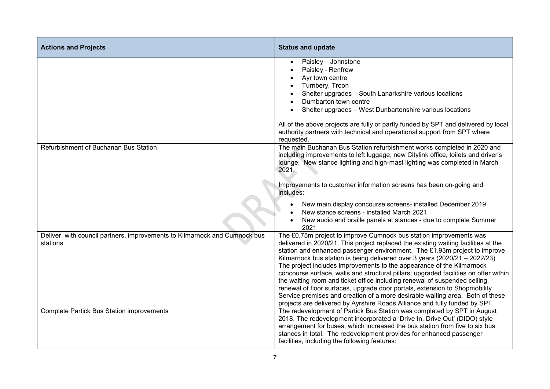| <b>Actions and Projects</b>                                                            | <b>Status and update</b>                                                                                                                                                                                                                                                                                                                                                                                                                                                                                                                                                                                                                                                                                                                                                                                         |
|----------------------------------------------------------------------------------------|------------------------------------------------------------------------------------------------------------------------------------------------------------------------------------------------------------------------------------------------------------------------------------------------------------------------------------------------------------------------------------------------------------------------------------------------------------------------------------------------------------------------------------------------------------------------------------------------------------------------------------------------------------------------------------------------------------------------------------------------------------------------------------------------------------------|
|                                                                                        | Paisley - Johnstone<br>Paisley - Renfrew<br>Ayr town centre<br>Turnbery, Troon<br>Shelter upgrades - South Lanarkshire various locations<br>Dumbarton town centre<br>Shelter upgrades - West Dunbartonshire various locations<br>All of the above projects are fully or partly funded by SPT and delivered by local<br>authority partners with technical and operational support from SPT where<br>requested.                                                                                                                                                                                                                                                                                                                                                                                                    |
| Refurbishment of Buchanan Bus Station                                                  | The main Buchanan Bus Station refurbishment works completed in 2020 and<br>including improvements to left luggage, new Citylink office, toilets and driver's<br>lounge. New stance lighting and high-mast lighting was completed in March<br>2021.<br>Improvements to customer information screens has been on-going and<br>includes:<br>New main display concourse screens- installed December 2019<br>New stance screens - installed March 2021<br>New audio and braille panels at stances - due to complete Summer<br>2021                                                                                                                                                                                                                                                                                    |
| Deliver, with council partners, improvements to Kilmarnock and Cumnock bus<br>stations | The £0.75m project to improve Cumnock bus station improvements was<br>delivered in 2020/21. This project replaced the existing waiting facilities at the<br>station and enhanced passenger environment. The £1.93m project to improve<br>Kilmarnock bus station is being delivered over 3 years (2020/21 - 2022/23).<br>The project includes improvements to the appearance of the Kilmarnock<br>concourse surface, walls and structural pillars; upgraded facilities on offer within<br>the waiting room and ticket office including renewal of suspended ceiling,<br>renewal of floor surfaces, upgrade door portals, extension to Shopmobility<br>Service premises and creation of a more desirable waiting area. Both of these<br>projects are delivered by Ayrshire Roads Alliance and fully funded by SPT. |
| <b>Complete Partick Bus Station improvements</b>                                       | The redevelopment of Partick Bus Station was completed by SPT in August<br>2018. The redevelopment incorporated a 'Drive In, Drive Out' (DIDO) style<br>arrangement for buses, which increased the bus station from five to six bus<br>stances in total. The redevelopment provides for enhanced passenger<br>facilities, including the following features:                                                                                                                                                                                                                                                                                                                                                                                                                                                      |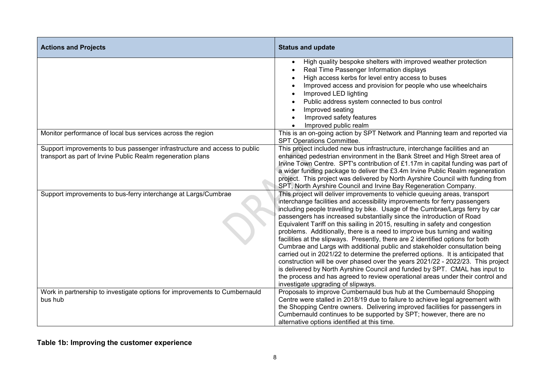| <b>Actions and Projects</b>                                                                                                              | <b>Status and update</b>                                                                                                                                                                                                                                                                                                                                                                                                                                                                                                                                                                                                                                                                                                                                                                                                                                                                                                                                                                                                         |
|------------------------------------------------------------------------------------------------------------------------------------------|----------------------------------------------------------------------------------------------------------------------------------------------------------------------------------------------------------------------------------------------------------------------------------------------------------------------------------------------------------------------------------------------------------------------------------------------------------------------------------------------------------------------------------------------------------------------------------------------------------------------------------------------------------------------------------------------------------------------------------------------------------------------------------------------------------------------------------------------------------------------------------------------------------------------------------------------------------------------------------------------------------------------------------|
|                                                                                                                                          | High quality bespoke shelters with improved weather protection<br>Real Time Passenger Information displays<br>High access kerbs for level entry access to buses<br>Improved access and provision for people who use wheelchairs<br>Improved LED lighting<br>Public address system connected to bus control<br>Improved seating<br>Improved safety features<br>Improved public realm                                                                                                                                                                                                                                                                                                                                                                                                                                                                                                                                                                                                                                              |
| Monitor performance of local bus services across the region                                                                              | This is an on-going action by SPT Network and Planning team and reported via<br>SPT Operations Committee.                                                                                                                                                                                                                                                                                                                                                                                                                                                                                                                                                                                                                                                                                                                                                                                                                                                                                                                        |
| Support improvements to bus passenger infrastructure and access to public<br>transport as part of Irvine Public Realm regeneration plans | This project included new bus infrastructure, interchange facilities and an<br>enhanced pedestrian environment in the Bank Street and High Street area of<br>Irvine Town Centre. SPT's contribution of £1.17m in capital funding was part of<br>a wider funding package to deliver the £3.4m Irvine Public Realm regeneration<br>project. This project was delivered by North Ayrshire Council with funding from<br>SPT, North Ayrshire Council and Irvine Bay Regeneration Company.                                                                                                                                                                                                                                                                                                                                                                                                                                                                                                                                             |
| Support improvements to bus-ferry interchange at Largs/Cumbrae                                                                           | This project will deliver improvements to vehicle queuing areas, transport<br>interchange facilities and accessibility improvements for ferry passengers<br>including people travelling by bike. Usage of the Cumbrae/Largs ferry by car<br>passengers has increased substantially since the introduction of Road<br>Equivalent Tariff on this sailing in 2015, resulting in safety and congestion<br>problems. Additionally, there is a need to improve bus turning and waiting<br>facilities at the slipways. Presently, there are 2 identified options for both<br>Cumbrae and Largs with additional public and stakeholder consultation being<br>carried out in 2021/22 to determine the preferred options. It is anticipated that<br>construction will be over phased over the years 2021/22 - 2022/23. This project<br>is delivered by North Ayrshire Council and funded by SPT. CMAL has input to<br>the process and has agreed to review operational areas under their control and<br>investigate upgrading of slipways. |
| Work in partnership to investigate options for improvements to Cumbernauld<br>bus hub                                                    | Proposals to improve Cumbernauld bus hub at the Cumbernauld Shopping<br>Centre were stalled in 2018/19 due to failure to achieve legal agreement with<br>the Shopping Centre owners. Delivering improved facilities for passengers in<br>Cumbernauld continues to be supported by SPT; however, there are no<br>alternative options identified at this time.                                                                                                                                                                                                                                                                                                                                                                                                                                                                                                                                                                                                                                                                     |

**Table 1b: Improving the customer experience**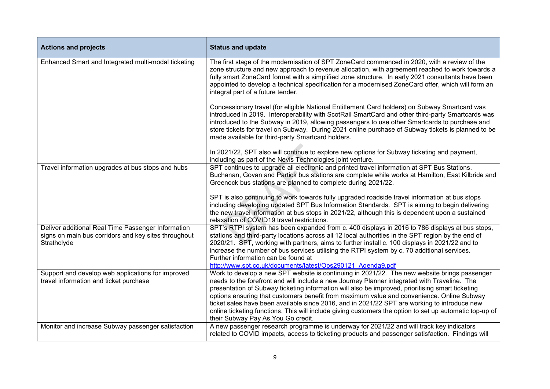| <b>Actions and projects</b>                                                                                               | <b>Status and update</b>                                                                                                                                                                                                                                                                                                                                                                                                                                                                                                                                                                                                                       |
|---------------------------------------------------------------------------------------------------------------------------|------------------------------------------------------------------------------------------------------------------------------------------------------------------------------------------------------------------------------------------------------------------------------------------------------------------------------------------------------------------------------------------------------------------------------------------------------------------------------------------------------------------------------------------------------------------------------------------------------------------------------------------------|
| Enhanced Smart and Integrated multi-modal ticketing                                                                       | The first stage of the modernisation of SPT ZoneCard commenced in 2020, with a review of the<br>zone structure and new approach to revenue allocation, with agreement reached to work towards a<br>fully smart ZoneCard format with a simplified zone structure. In early 2021 consultants have been<br>appointed to develop a technical specification for a modernised ZoneCard offer, which will form an<br>integral part of a future tender.                                                                                                                                                                                                |
|                                                                                                                           | Concessionary travel (for eligible National Entitlement Card holders) on Subway Smartcard was<br>introduced in 2019. Interoperability with ScotRail SmartCard and other third-party Smartcards was<br>introduced to the Subway in 2019, allowing passengers to use other Smartcards to purchase and<br>store tickets for travel on Subway. During 2021 online purchase of Subway tickets is planned to be<br>made available for third-party Smartcard holders.                                                                                                                                                                                 |
|                                                                                                                           | In 2021/22, SPT also will continue to explore new options for Subway ticketing and payment,<br>including as part of the Nevis Technologies joint venture.                                                                                                                                                                                                                                                                                                                                                                                                                                                                                      |
| Travel information upgrades at bus stops and hubs                                                                         | SPT continues to upgrade all electronic and printed travel information at SPT Bus Stations.<br>Buchanan, Govan and Partick bus stations are complete while works at Hamilton, East Kilbride and<br>Greenock bus stations are planned to complete during 2021/22.                                                                                                                                                                                                                                                                                                                                                                               |
|                                                                                                                           | SPT is also continuing to work towards fully upgraded roadside travel information at bus stops<br>including developing updated SPT Bus Information Standards. SPT is aiming to begin delivering<br>the new travel information at bus stops in 2021/22, although this is dependent upon a sustained<br>relaxation of COVID19 travel restrictions.                                                                                                                                                                                                                                                                                               |
| Deliver additional Real Time Passenger Information<br>signs on main bus corridors and key sites throughout<br>Strathclyde | SPT's RTPI system has been expanded from c. 400 displays in 2016 to 786 displays at bus stops,<br>stations and third-party locations across all 12 local authorities in the SPT region by the end of<br>2020/21. SPT, working with partners, aims to further install c. 100 displays in 2021/22 and to<br>increase the number of bus services utilising the RTPI system by c. 70 additional services.<br>Further information can be found at<br>http://www.spt.co.uk/documents/latest/Ops290121_Agenda9.pdf                                                                                                                                    |
| Support and develop web applications for improved<br>travel information and ticket purchase                               | Work to develop a new SPT website is continuing in 2021/22. The new website brings passenger<br>needs to the forefront and will include a new Journey Planner integrated with Traveline. The<br>presentation of Subway ticketing information will also be improved, prioritising smart ticketing<br>options ensuring that customers benefit from maximum value and convenience. Online Subway<br>ticket sales have been available since 2016, and in 2021/22 SPT are working to introduce new<br>online ticketing functions. This will include giving customers the option to set up automatic top-up of<br>their Subway Pay As You Go credit. |
| Monitor and increase Subway passenger satisfaction                                                                        | A new passenger research programme is underway for 2021/22 and will track key indicators<br>related to COVID impacts, access to ticketing products and passenger satisfaction. Findings will                                                                                                                                                                                                                                                                                                                                                                                                                                                   |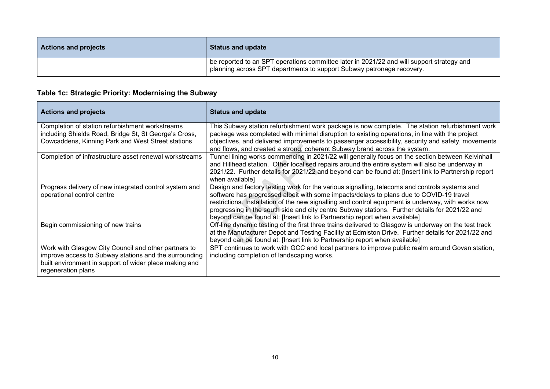| <b>Actions and projects</b> | <b>Status and update</b>                                                                                                                                             |
|-----------------------------|----------------------------------------------------------------------------------------------------------------------------------------------------------------------|
|                             | be reported to an SPT operations committee later in 2021/22 and will support strategy and<br>  planning across SPT departments to support Subway patronage recovery. |

## **Table 1c: Strategic Priority: Modernising the Subway**

| <b>Actions and projects</b>                                                  | <b>Status and update</b>                                                                                                                                                                               |
|------------------------------------------------------------------------------|--------------------------------------------------------------------------------------------------------------------------------------------------------------------------------------------------------|
| Completion of station refurbishment workstreams                              | This Subway station refurbishment work package is now complete. The station refurbishment work                                                                                                         |
| including Shields Road, Bridge St, St George's Cross,                        | package was completed with minimal disruption to existing operations, in line with the project                                                                                                         |
| Cowcaddens, Kinning Park and West Street stations                            | objectives, and delivered improvements to passenger accessibility, security and safety, movements<br>and flows, and created a strong, coherent Subway brand across the system.                         |
| Completion of infrastructure asset renewal workstreams                       | Tunnel lining works commencing in 2021/22 will generally focus on the section between Kelvinhall                                                                                                       |
|                                                                              | and Hillhead station. Other localised repairs around the entire system will also be underway in<br>2021/22. Further details for 2021/22 and beyond can be found at: [Insert link to Partnership report |
|                                                                              | when available]                                                                                                                                                                                        |
| Progress delivery of new integrated control system and                       | Design and factory testing work for the various signalling, telecoms and controls systems and                                                                                                          |
| operational control centre                                                   | software has progressed albeit with some impacts/delays to plans due to COVID-19 travel                                                                                                                |
|                                                                              | restrictions. Installation of the new signalling and control equipment is underway, with works now                                                                                                     |
|                                                                              | progressing in the south side and city centre Subway stations. Further details for 2021/22 and<br>beyond can be found at: [Insert link to Partnership report when available]                           |
| Begin commissioning of new trains                                            | Off-line dynamic testing of the first three trains delivered to Glasgow is underway on the test track                                                                                                  |
|                                                                              | at the Manufacturer Depot and Testing Facility at Edmiston Drive. Further details for 2021/22 and                                                                                                      |
|                                                                              | beyond can be found at: [Insert link to Partnership report when available]                                                                                                                             |
| Work with Glasgow City Council and other partners to                         | SPT continues to work with GCC and local partners to improve public realm around Govan station,                                                                                                        |
| improve access to Subway stations and the surrounding                        | including completion of landscaping works.                                                                                                                                                             |
| built environment in support of wider place making and<br>regeneration plans |                                                                                                                                                                                                        |
|                                                                              |                                                                                                                                                                                                        |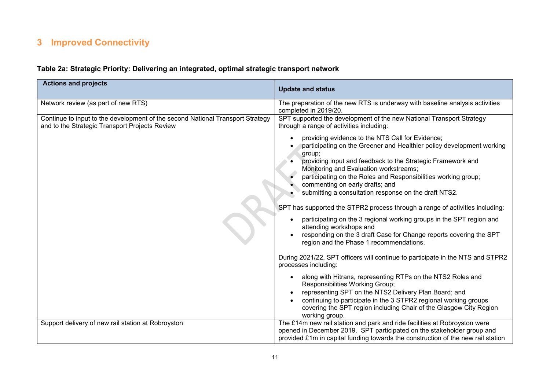# **3 Improved Connectivity**

## **Table 2a: Strategic Priority: Delivering an integrated, optimal strategic transport network**

<span id="page-12-0"></span>

| <b>Actions and projects</b>                                                                                                      | <b>Update and status</b>                                                                                                                                                                                                                                                                                                                                                                                                                                                                                                                                                                                                                                                                                       |
|----------------------------------------------------------------------------------------------------------------------------------|----------------------------------------------------------------------------------------------------------------------------------------------------------------------------------------------------------------------------------------------------------------------------------------------------------------------------------------------------------------------------------------------------------------------------------------------------------------------------------------------------------------------------------------------------------------------------------------------------------------------------------------------------------------------------------------------------------------|
|                                                                                                                                  |                                                                                                                                                                                                                                                                                                                                                                                                                                                                                                                                                                                                                                                                                                                |
| Network review (as part of new RTS)                                                                                              | The preparation of the new RTS is underway with baseline analysis activities<br>completed in 2019/20.                                                                                                                                                                                                                                                                                                                                                                                                                                                                                                                                                                                                          |
| Continue to input to the development of the second National Transport Strategy<br>and to the Strategic Transport Projects Review | SPT supported the development of the new National Transport Strategy<br>through a range of activities including:                                                                                                                                                                                                                                                                                                                                                                                                                                                                                                                                                                                               |
|                                                                                                                                  | providing evidence to the NTS Call for Evidence;<br>participating on the Greener and Healthier policy development working<br>group;<br>providing input and feedback to the Strategic Framework and<br>Monitoring and Evaluation workstreams;<br>participating on the Roles and Responsibilities working group;<br>commenting on early drafts; and<br>submitting a consultation response on the draft NTS2.<br>SPT has supported the STPR2 process through a range of activities including:<br>participating on the 3 regional working groups in the SPT region and<br>attending workshops and<br>responding on the 3 draft Case for Change reports covering the SPT<br>region and the Phase 1 recommendations. |
|                                                                                                                                  | During 2021/22, SPT officers will continue to participate in the NTS and STPR2<br>processes including:                                                                                                                                                                                                                                                                                                                                                                                                                                                                                                                                                                                                         |
|                                                                                                                                  | along with Hitrans, representing RTPs on the NTS2 Roles and<br>Responsibilities Working Group;<br>representing SPT on the NTS2 Delivery Plan Board; and<br>continuing to participate in the 3 STPR2 regional working groups<br>covering the SPT region including Chair of the Glasgow City Region<br>working group.                                                                                                                                                                                                                                                                                                                                                                                            |
| Support delivery of new rail station at Robroyston                                                                               | The £14m new rail station and park and ride facilities at Robroyston were<br>opened in December 2019. SPT participated on the stakeholder group and<br>provided £1m in capital funding towards the construction of the new rail station                                                                                                                                                                                                                                                                                                                                                                                                                                                                        |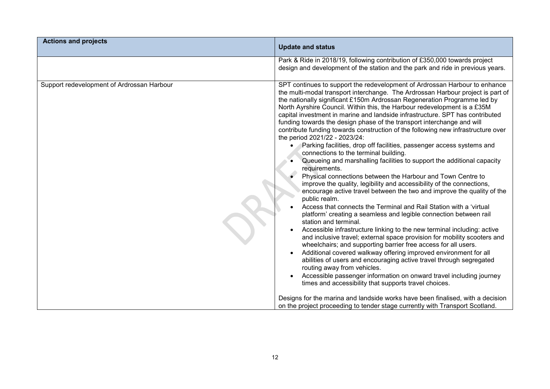| <b>Actions and projects</b>                |                                                                                                                                                                                                                                                                                                                                                                                                                                                                                                                                                                                                                                                                                                                                                                                                                                                                                                                                                                                                                                                                                                                                                                                                                                                                                                                                                                                                                                                                                                                                                                                                                                                                                                                                                                                                                                                |
|--------------------------------------------|------------------------------------------------------------------------------------------------------------------------------------------------------------------------------------------------------------------------------------------------------------------------------------------------------------------------------------------------------------------------------------------------------------------------------------------------------------------------------------------------------------------------------------------------------------------------------------------------------------------------------------------------------------------------------------------------------------------------------------------------------------------------------------------------------------------------------------------------------------------------------------------------------------------------------------------------------------------------------------------------------------------------------------------------------------------------------------------------------------------------------------------------------------------------------------------------------------------------------------------------------------------------------------------------------------------------------------------------------------------------------------------------------------------------------------------------------------------------------------------------------------------------------------------------------------------------------------------------------------------------------------------------------------------------------------------------------------------------------------------------------------------------------------------------------------------------------------------------|
|                                            | <b>Update and status</b>                                                                                                                                                                                                                                                                                                                                                                                                                                                                                                                                                                                                                                                                                                                                                                                                                                                                                                                                                                                                                                                                                                                                                                                                                                                                                                                                                                                                                                                                                                                                                                                                                                                                                                                                                                                                                       |
|                                            | Park & Ride in 2018/19, following contribution of £350,000 towards project<br>design and development of the station and the park and ride in previous years.                                                                                                                                                                                                                                                                                                                                                                                                                                                                                                                                                                                                                                                                                                                                                                                                                                                                                                                                                                                                                                                                                                                                                                                                                                                                                                                                                                                                                                                                                                                                                                                                                                                                                   |
| Support redevelopment of Ardrossan Harbour | SPT continues to support the redevelopment of Ardrossan Harbour to enhance<br>the multi-modal transport interchange. The Ardrossan Harbour project is part of<br>the nationally significant £150m Ardrossan Regeneration Programme led by<br>North Ayrshire Council. Within this, the Harbour redevelopment is a £35M<br>capital investment in marine and landside infrastructure. SPT has contributed<br>funding towards the design phase of the transport interchange and will<br>contribute funding towards construction of the following new infrastructure over<br>the period 2021/22 - 2023/24:<br>Parking facilities, drop off facilities, passenger access systems and<br>connections to the terminal building.<br>Queueing and marshalling facilities to support the additional capacity<br>requirements.<br>Physical connections between the Harbour and Town Centre to<br>improve the quality, legibility and accessibility of the connections,<br>encourage active travel between the two and improve the quality of the<br>public realm.<br>Access that connects the Terminal and Rail Station with a 'virtual<br>platform' creating a seamless and legible connection between rail<br>station and terminal.<br>Accessible infrastructure linking to the new terminal including: active<br>and inclusive travel; external space provision for mobility scooters and<br>wheelchairs; and supporting barrier free access for all users.<br>Additional covered walkway offering improved environment for all<br>abilities of users and encouraging active travel through segregated<br>routing away from vehicles.<br>Accessible passenger information on onward travel including journey<br>times and accessibility that supports travel choices.<br>Designs for the marina and landside works have been finalised, with a decision |
|                                            | on the project proceeding to tender stage currently with Transport Scotland.                                                                                                                                                                                                                                                                                                                                                                                                                                                                                                                                                                                                                                                                                                                                                                                                                                                                                                                                                                                                                                                                                                                                                                                                                                                                                                                                                                                                                                                                                                                                                                                                                                                                                                                                                                   |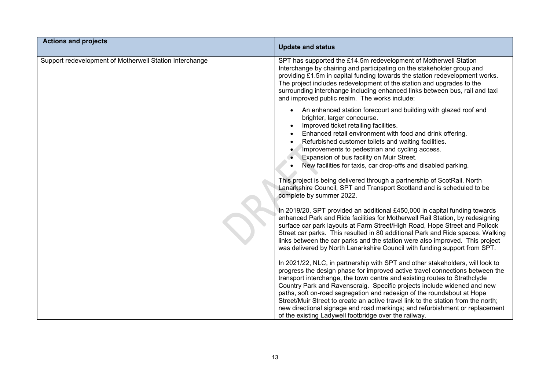| <b>Actions and projects</b>                             | <b>Update and status</b>                                                                                                                                                                                                                                                                                                                                                                                                                                                                                                                                                                                                                                                                                                                                                                                                                                                                                                                                                                                                                                                                                                                                                                                                                                                                                                                                                                                                                                                                                                                                                                                                                                                                                                                   |
|---------------------------------------------------------|--------------------------------------------------------------------------------------------------------------------------------------------------------------------------------------------------------------------------------------------------------------------------------------------------------------------------------------------------------------------------------------------------------------------------------------------------------------------------------------------------------------------------------------------------------------------------------------------------------------------------------------------------------------------------------------------------------------------------------------------------------------------------------------------------------------------------------------------------------------------------------------------------------------------------------------------------------------------------------------------------------------------------------------------------------------------------------------------------------------------------------------------------------------------------------------------------------------------------------------------------------------------------------------------------------------------------------------------------------------------------------------------------------------------------------------------------------------------------------------------------------------------------------------------------------------------------------------------------------------------------------------------------------------------------------------------------------------------------------------------|
| Support redevelopment of Motherwell Station Interchange | SPT has supported the £14.5m redevelopment of Motherwell Station<br>Interchange by chairing and participating on the stakeholder group and<br>providing £1.5m in capital funding towards the station redevelopment works.<br>The project includes redevelopment of the station and upgrades to the<br>surrounding interchange including enhanced links between bus, rail and taxi<br>and improved public realm. The works include:                                                                                                                                                                                                                                                                                                                                                                                                                                                                                                                                                                                                                                                                                                                                                                                                                                                                                                                                                                                                                                                                                                                                                                                                                                                                                                         |
|                                                         | An enhanced station forecourt and building with glazed roof and<br>brighter, larger concourse.<br>Improved ticket retailing facilities.<br>Enhanced retail environment with food and drink offering.<br>Refurbished customer toilets and waiting facilities.<br>Improvements to pedestrian and cycling access.<br>Expansion of bus facility on Muir Street.<br>New facilities for taxis, car drop-offs and disabled parking.<br>This project is being delivered through a partnership of ScotRail, North<br>Lanarkshire Council, SPT and Transport Scotland and is scheduled to be<br>complete by summer 2022.<br>In 2019/20, SPT provided an additional £450,000 in capital funding towards<br>enhanced Park and Ride facilities for Motherwell Rail Station, by redesigning<br>surface car park layouts at Farm Street/High Road, Hope Street and Pollock<br>Street car parks. This resulted in 80 additional Park and Ride spaces. Walking<br>links between the car parks and the station were also improved. This project<br>was delivered by North Lanarkshire Council with funding support from SPT.<br>In 2021/22, NLC, in partnership with SPT and other stakeholders, will look to<br>progress the design phase for improved active travel connections between the<br>transport interchange, the town centre and existing routes to Strathclyde<br>Country Park and Ravenscraig. Specific projects include widened and new<br>paths, soft on-road segregation and redesign of the roundabout at Hope<br>Street/Muir Street to create an active travel link to the station from the north;<br>new directional signage and road markings; and refurbishment or replacement<br>of the existing Ladywell footbridge over the railway. |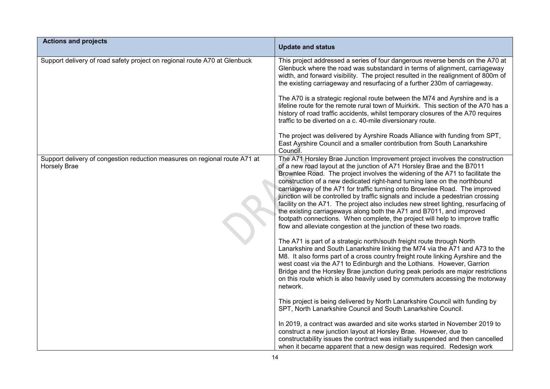| <b>Actions and projects</b>                                                                       | <b>Update and status</b>                                                                                                                                                                                                                                                                                                                                                                                                                                                                                                                                                                                                                                                                                                                                                                                                                                                                                                                                                                                                                                                                                                                                                                                                                                                                                          |
|---------------------------------------------------------------------------------------------------|-------------------------------------------------------------------------------------------------------------------------------------------------------------------------------------------------------------------------------------------------------------------------------------------------------------------------------------------------------------------------------------------------------------------------------------------------------------------------------------------------------------------------------------------------------------------------------------------------------------------------------------------------------------------------------------------------------------------------------------------------------------------------------------------------------------------------------------------------------------------------------------------------------------------------------------------------------------------------------------------------------------------------------------------------------------------------------------------------------------------------------------------------------------------------------------------------------------------------------------------------------------------------------------------------------------------|
| Support delivery of road safety project on regional route A70 at Glenbuck                         | This project addressed a series of four dangerous reverse bends on the A70 at<br>Glenbuck where the road was substandard in terms of alignment, carriageway<br>width, and forward visibility. The project resulted in the realignment of 800m of<br>the existing carriageway and resurfacing of a further 230m of carriageway.                                                                                                                                                                                                                                                                                                                                                                                                                                                                                                                                                                                                                                                                                                                                                                                                                                                                                                                                                                                    |
|                                                                                                   | The A70 is a strategic regional route between the M74 and Ayrshire and is a<br>lifeline route for the remote rural town of Muirkirk. This section of the A70 has a<br>history of road traffic accidents, whilst temporary closures of the A70 requires<br>traffic to be diverted on a c. 40-mile diversionary route.                                                                                                                                                                                                                                                                                                                                                                                                                                                                                                                                                                                                                                                                                                                                                                                                                                                                                                                                                                                              |
|                                                                                                   | The project was delivered by Ayrshire Roads Alliance with funding from SPT,<br>East Ayrshire Council and a smaller contribution from South Lanarkshire<br>Council.                                                                                                                                                                                                                                                                                                                                                                                                                                                                                                                                                                                                                                                                                                                                                                                                                                                                                                                                                                                                                                                                                                                                                |
| Support delivery of congestion reduction measures on regional route A71 at<br><b>Horsely Brae</b> | The A71 Horsley Brae Junction Improvement project involves the construction<br>of a new road layout at the junction of A71 Horsley Brae and the B7011<br>Brownlee Road. The project involves the widening of the A71 to facilitate the<br>construction of a new dedicated right-hand turning lane on the northbound<br>carriageway of the A71 for traffic turning onto Brownlee Road. The improved<br>junction will be controlled by traffic signals and include a pedestrian crossing<br>facility on the A71. The project also includes new street lighting, resurfacing of<br>the existing carriageways along both the A71 and B7011, and improved<br>footpath connections. When complete, the project will help to improve traffic<br>flow and alleviate congestion at the junction of these two roads.<br>The A71 is part of a strategic north/south freight route through North<br>Lanarkshire and South Lanarkshire linking the M74 via the A71 and A73 to the<br>M8. It also forms part of a cross country freight route linking Ayrshire and the<br>west coast via the A71 to Edinburgh and the Lothians. However, Garrion<br>Bridge and the Horsley Brae junction during peak periods are major restrictions<br>on this route which is also heavily used by commuters accessing the motorway<br>network. |
|                                                                                                   | This project is being delivered by North Lanarkshire Council with funding by<br>SPT, North Lanarkshire Council and South Lanarkshire Council.                                                                                                                                                                                                                                                                                                                                                                                                                                                                                                                                                                                                                                                                                                                                                                                                                                                                                                                                                                                                                                                                                                                                                                     |
|                                                                                                   | In 2019, a contract was awarded and site works started in November 2019 to<br>construct a new junction layout at Horsley Brae. However, due to<br>constructability issues the contract was initially suspended and then cancelled<br>when it became apparent that a new design was required. Redesign work                                                                                                                                                                                                                                                                                                                                                                                                                                                                                                                                                                                                                                                                                                                                                                                                                                                                                                                                                                                                        |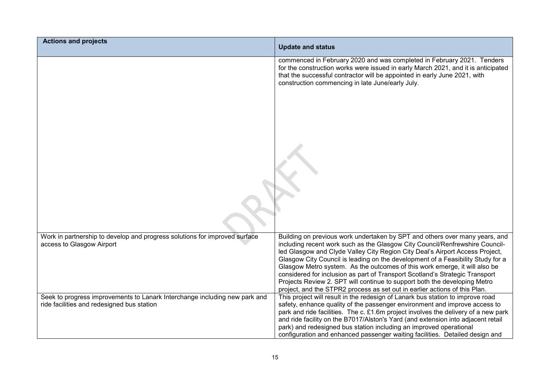| <b>Actions and projects</b>                                                                                              | <b>Update and status</b>                                                                                                                                                                                                                                                                                                                                                                                                                                                                                                                                                                                                                                |
|--------------------------------------------------------------------------------------------------------------------------|---------------------------------------------------------------------------------------------------------------------------------------------------------------------------------------------------------------------------------------------------------------------------------------------------------------------------------------------------------------------------------------------------------------------------------------------------------------------------------------------------------------------------------------------------------------------------------------------------------------------------------------------------------|
|                                                                                                                          | commenced in February 2020 and was completed in February 2021. Tenders<br>for the construction works were issued in early March 2021, and it is anticipated<br>that the successful contractor will be appointed in early June 2021, with<br>construction commencing in late June/early July.                                                                                                                                                                                                                                                                                                                                                            |
|                                                                                                                          |                                                                                                                                                                                                                                                                                                                                                                                                                                                                                                                                                                                                                                                         |
|                                                                                                                          |                                                                                                                                                                                                                                                                                                                                                                                                                                                                                                                                                                                                                                                         |
|                                                                                                                          |                                                                                                                                                                                                                                                                                                                                                                                                                                                                                                                                                                                                                                                         |
| Work in partnership to develop and progress solutions for improved surface<br>access to Glasgow Airport                  | Building on previous work undertaken by SPT and others over many years, and<br>including recent work such as the Glasgow City Council/Renfrewshire Council-<br>led Glasgow and Clyde Valley City Region City Deal's Airport Access Project,<br>Glasgow City Council is leading on the development of a Feasibility Study for a<br>Glasgow Metro system. As the outcomes of this work emerge, it will also be<br>considered for inclusion as part of Transport Scotland's Strategic Transport<br>Projects Review 2. SPT will continue to support both the developing Metro<br>project, and the STPR2 process as set out in earlier actions of this Plan. |
| Seek to progress improvements to Lanark Interchange including new park and<br>ride facilities and redesigned bus station | This project will result in the redesign of Lanark bus station to improve road<br>safety, enhance quality of the passenger environment and improve access to<br>park and ride facilities. The c. £1.6m project involves the delivery of a new park<br>and ride facility on the B7017/Alston's Yard (and extension into adjacent retail<br>park) and redesigned bus station including an improved operational<br>configuration and enhanced passenger waiting facilities. Detailed design and                                                                                                                                                            |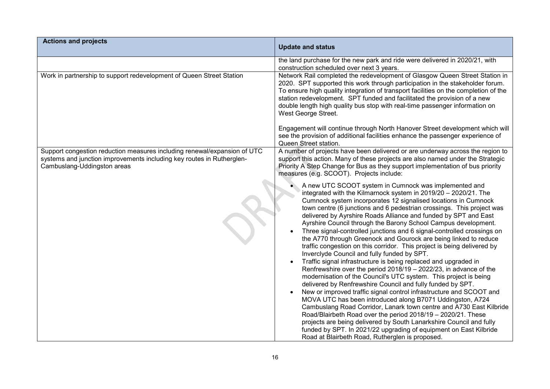| <b>Actions and projects</b>                                                                                                                                                      | <b>Update and status</b>                                                                                                                                                                                                                                                                                                                                                                                                                                                                                                                                                                                                                                                                                                                                                                                                                                                                                                                                                                                                                                                                                                                                                                                                                                                                                                                                                                                                             |
|----------------------------------------------------------------------------------------------------------------------------------------------------------------------------------|--------------------------------------------------------------------------------------------------------------------------------------------------------------------------------------------------------------------------------------------------------------------------------------------------------------------------------------------------------------------------------------------------------------------------------------------------------------------------------------------------------------------------------------------------------------------------------------------------------------------------------------------------------------------------------------------------------------------------------------------------------------------------------------------------------------------------------------------------------------------------------------------------------------------------------------------------------------------------------------------------------------------------------------------------------------------------------------------------------------------------------------------------------------------------------------------------------------------------------------------------------------------------------------------------------------------------------------------------------------------------------------------------------------------------------------|
|                                                                                                                                                                                  |                                                                                                                                                                                                                                                                                                                                                                                                                                                                                                                                                                                                                                                                                                                                                                                                                                                                                                                                                                                                                                                                                                                                                                                                                                                                                                                                                                                                                                      |
|                                                                                                                                                                                  | the land purchase for the new park and ride were delivered in 2020/21, with<br>construction scheduled over next 3 years.                                                                                                                                                                                                                                                                                                                                                                                                                                                                                                                                                                                                                                                                                                                                                                                                                                                                                                                                                                                                                                                                                                                                                                                                                                                                                                             |
| Work in partnership to support redevelopment of Queen Street Station                                                                                                             | Network Rail completed the redevelopment of Glasgow Queen Street Station in<br>2020. SPT supported this work through participation in the stakeholder forum.<br>To ensure high quality integration of transport facilities on the completion of the<br>station redevelopment. SPT funded and facilitated the provision of a new<br>double length high quality bus stop with real-time passenger information on<br>West George Street.                                                                                                                                                                                                                                                                                                                                                                                                                                                                                                                                                                                                                                                                                                                                                                                                                                                                                                                                                                                                |
|                                                                                                                                                                                  | Engagement will continue through North Hanover Street development which will<br>see the provision of additional facilities enhance the passenger experience of<br>Queen Street station.                                                                                                                                                                                                                                                                                                                                                                                                                                                                                                                                                                                                                                                                                                                                                                                                                                                                                                                                                                                                                                                                                                                                                                                                                                              |
| Support congestion reduction measures including renewal/expansion of UTC<br>systems and junction improvements including key routes in Rutherglen-<br>Cambuslang-Uddingston areas | A number of projects have been delivered or are underway across the region to<br>support this action. Many of these projects are also named under the Strategic<br>Priority A Step Change for Bus as they support implementation of bus priority<br>measures (e.g. SCOOT). Projects include:                                                                                                                                                                                                                                                                                                                                                                                                                                                                                                                                                                                                                                                                                                                                                                                                                                                                                                                                                                                                                                                                                                                                         |
|                                                                                                                                                                                  | A new UTC SCOOT system in Cumnock was implemented and<br>integrated with the Kilmarnock system in 2019/20 - 2020/21. The<br>Cumnock system incorporates 12 signalised locations in Cumnock<br>town centre (6 junctions and 6 pedestrian crossings. This project was<br>delivered by Ayrshire Roads Alliance and funded by SPT and East<br>Ayrshire Council through the Barony School Campus development.<br>Three signal-controlled junctions and 6 signal-controlled crossings on<br>the A770 through Greenock and Gourock are being linked to reduce<br>traffic congestion on this corridor. This project is being delivered by<br>Inverclyde Council and fully funded by SPT.<br>Traffic signal infrastructure is being replaced and upgraded in<br>Renfrewshire over the period 2018/19 - 2022/23, in advance of the<br>modernisation of the Council's UTC system. This project is being<br>delivered by Renfrewshire Council and fully funded by SPT.<br>New or improved traffic signal control infrastructure and SCOOT and<br>MOVA UTC has been introduced along B7071 Uddingston, A724<br>Cambuslang Road Corridor, Lanark town centre and A730 East Kilbride<br>Road/Blairbeth Road over the period 2018/19 - 2020/21. These<br>projects are being delivered by South Lanarkshire Council and fully<br>funded by SPT. In 2021/22 upgrading of equipment on East Kilbride<br>Road at Blairbeth Road, Rutherglen is proposed. |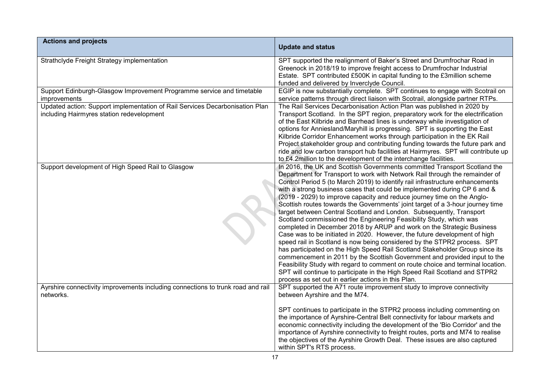| <b>Actions and projects</b>                                                                                               | <b>Update and status</b>                                                                                                                                                                                                                                                                                            |
|---------------------------------------------------------------------------------------------------------------------------|---------------------------------------------------------------------------------------------------------------------------------------------------------------------------------------------------------------------------------------------------------------------------------------------------------------------|
| Strathclyde Freight Strategy implementation                                                                               | SPT supported the realignment of Baker's Street and Drumfrochar Road in<br>Greenock in 2018/19 to improve freight access to Drumfrochar Industrial<br>Estate. SPT contributed £500K in capital funding to the £3million scheme<br>funded and delivered by Inverclyde Council.                                       |
| Support Edinburgh-Glasgow Improvement Programme service and timetable<br>improvements                                     | EGIP is now substantially complete. SPT continues to engage with Scotrail on<br>service patterns through direct liaison with Scotrail, alongside partner RTPs.                                                                                                                                                      |
| Updated action: Support implementation of Rail Services Decarbonisation Plan<br>including Hairmyres station redevelopment | The Rail Services Decarbonisation Action Plan was published in 2020 by<br>Transport Scotland. In the SPT region, preparatory work for the electrification                                                                                                                                                           |
|                                                                                                                           | of the East Kilbride and Barrhead lines is underway while investigation of<br>options for Anniesland/Maryhill is progressing. SPT is supporting the East<br>Kilbride Corridor Enhancement works through participation in the EK Rail                                                                                |
|                                                                                                                           | Project stakeholder group and contributing funding towards the future park and<br>ride and low carbon transport hub facilities at Hairmyres. SPT will contribute up                                                                                                                                                 |
| Support development of High Speed Rail to Glasgow                                                                         | to £4.2 million to the development of the interchange facilities.<br>In 2016, the UK and Scottish Governments committed Transport Scotland the                                                                                                                                                                      |
|                                                                                                                           | Department for Transport to work with Network Rail through the remainder of<br>Control Period 5 (to March 2019) to identify rail infrastructure enhancements<br>with a strong business cases that could be implemented during CP 6 and &<br>(2019 - 2029) to improve capacity and reduce journey time on the Anglo- |
|                                                                                                                           | Scottish routes towards the Governments' joint target of a 3-hour journey time<br>target between Central Scotland and London. Subsequently, Transport                                                                                                                                                               |
|                                                                                                                           | Scotland commissioned the Engineering Feasibility Study, which was<br>completed in December 2018 by ARUP and work on the Strategic Business<br>Case was to be initiated in 2020. However, the future development of high<br>speed rail in Scotland is now being considered by the STPR2 process. SPT                |
|                                                                                                                           | has participated on the High Speed Rail Scotland Stakeholder Group since its<br>commencement in 2011 by the Scottish Government and provided input to the                                                                                                                                                           |
|                                                                                                                           | Feasibility Study with regard to comment on route choice and terminal location.<br>SPT will continue to participate in the High Speed Rail Scotland and STPR2<br>process as set out in earlier actions in this Plan.                                                                                                |
| Ayrshire connectivity improvements including connections to trunk road and rail<br>networks.                              | SPT supported the A71 route improvement study to improve connectivity<br>between Ayrshire and the M74.                                                                                                                                                                                                              |
|                                                                                                                           | SPT continues to participate in the STPR2 process including commenting on<br>the importance of Ayrshire-Central Belt connectivity for labour markets and                                                                                                                                                            |
|                                                                                                                           | economic connectivity including the development of the 'Bio Corridor' and the<br>importance of Ayrshire connectivity to freight routes, ports and M74 to realise<br>the objectives of the Ayrshire Growth Deal. These issues are also captured                                                                      |
|                                                                                                                           | within SPT's RTS process.                                                                                                                                                                                                                                                                                           |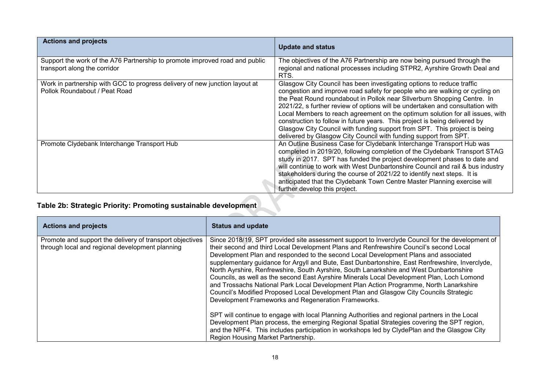| <b>Actions and projects</b>                                                                                  | <b>Update and status</b>                                                                                                                                                                                                                                                                                                                                                                                                                                                                                                                                                                                                         |
|--------------------------------------------------------------------------------------------------------------|----------------------------------------------------------------------------------------------------------------------------------------------------------------------------------------------------------------------------------------------------------------------------------------------------------------------------------------------------------------------------------------------------------------------------------------------------------------------------------------------------------------------------------------------------------------------------------------------------------------------------------|
| Support the work of the A76 Partnership to promote improved road and public<br>transport along the corridor  | The objectives of the A76 Partnership are now being pursued through the<br>regional and national processes including STPR2, Ayrshire Growth Deal and<br>RTS.                                                                                                                                                                                                                                                                                                                                                                                                                                                                     |
| Work in partnership with GCC to progress delivery of new junction layout at<br>Pollok Roundabout / Peat Road | Glasgow City Council has been investigating options to reduce traffic<br>congestion and improve road safety for people who are walking or cycling on<br>the Peat Round roundabout in Pollok near SIIverburn Shopping Centre. In<br>2021/22, s further review of options will be undertaken and consultation with<br>Local Members to reach agreement on the optimum solution for all issues, with<br>construction to follow in future years. This project is being delivered by<br>Glasgow City Council with funding support from SPT. This project is being<br>delivered by Glasgow City Council with funding support from SPT. |
| Promote Clydebank Interchange Transport Hub                                                                  | An Outline Business Case for Clydebank Interchange Transport Hub was<br>completed in 2019/20, following completion of the Clydebank Transport STAG<br>study in 2017. SPT has funded the project development phases to date and<br>will continue to work with West Dunbartonshire Council and rail & bus industry<br>stakeholders during the course of 2021/22 to identify next steps. It is<br>anticipated that the Clydebank Town Centre Master Planning exercise will<br>further develop this project.                                                                                                                         |

## **Table 2b: Strategic Priority: Promoting sustainable development**

| <b>Actions and projects</b>                                                                                 | <b>Status and update</b>                                                                                                                                                                                                                                                                                                                                                                                                                                                                                                                                                                                                                                                                                                                                                                                                 |
|-------------------------------------------------------------------------------------------------------------|--------------------------------------------------------------------------------------------------------------------------------------------------------------------------------------------------------------------------------------------------------------------------------------------------------------------------------------------------------------------------------------------------------------------------------------------------------------------------------------------------------------------------------------------------------------------------------------------------------------------------------------------------------------------------------------------------------------------------------------------------------------------------------------------------------------------------|
| Promote and support the delivery of transport objectives<br>through local and regional development planning | Since 2018/19, SPT provided site assessment support to Inverclyde Council for the development of<br>their second and third Local Development Plans and Renfrewshire Council's second Local<br>Development Plan and responded to the second Local Development Plans and associated<br>supplementary guidance for Argyll and Bute, East Dunbartonshire, East Renfrewshire, Inverclyde,<br>North Ayrshire, Renfrewshire, South Ayrshire, South Lanarkshire and West Dunbartonshire<br>Councils, as well as the second East Ayrshire Minerals Local Development Plan, Loch Lomond<br>and Trossachs National Park Local Development Plan Action Programme, North Lanarkshire<br>Council's Modified Proposed Local Development Plan and Glasgow City Councils Strategic<br>Development Frameworks and Regeneration Frameworks. |
|                                                                                                             | SPT will continue to engage with local Planning Authorities and regional partners in the Local<br>Development Plan process, the emerging Regional Spatial Strategies covering the SPT region,<br>and the NPF4. This includes participation in workshops led by ClydePlan and the Glasgow City<br>Region Housing Market Partnership.                                                                                                                                                                                                                                                                                                                                                                                                                                                                                      |

 $\sim$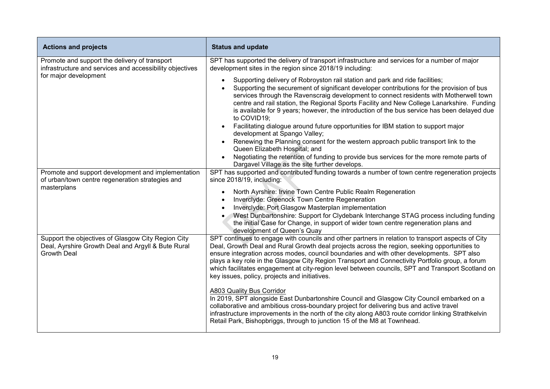| <b>Actions and projects</b>                                                                                                    | <b>Status and update</b>                                                                                                                                                                                                                                                                                                                                                                                                                                                                                                                                                                                                                                                                                                                                                                                                    |
|--------------------------------------------------------------------------------------------------------------------------------|-----------------------------------------------------------------------------------------------------------------------------------------------------------------------------------------------------------------------------------------------------------------------------------------------------------------------------------------------------------------------------------------------------------------------------------------------------------------------------------------------------------------------------------------------------------------------------------------------------------------------------------------------------------------------------------------------------------------------------------------------------------------------------------------------------------------------------|
| Promote and support the delivery of transport<br>infrastructure and services and accessibility objectives                      | SPT has supported the delivery of transport infrastructure and services for a number of major<br>development sites in the region since 2018/19 including:                                                                                                                                                                                                                                                                                                                                                                                                                                                                                                                                                                                                                                                                   |
| for major development                                                                                                          | Supporting delivery of Robroyston rail station and park and ride facilities;<br>Supporting the securement of significant developer contributions for the provision of bus<br>services through the Ravenscraig development to connect residents with Motherwell town<br>centre and rail station, the Regional Sports Facility and New College Lanarkshire. Funding<br>is available for 9 years; however, the introduction of the bus service has been delayed due<br>to COVID19;<br>Facilitating dialogue around future opportunities for IBM station to support major<br>development at Spango Valley;<br>Renewing the Planning consent for the western approach public transport link to the<br>Queen Elizabeth Hospital; and<br>Negotiating the retention of funding to provide bus services for the more remote parts of |
| Promote and support development and implementation                                                                             | Dargavel Village as the site further develops.<br>SPT has supported and contributed funding towards a number of town centre regeneration projects                                                                                                                                                                                                                                                                                                                                                                                                                                                                                                                                                                                                                                                                           |
| of urban/town centre regeneration strategies and<br>masterplans                                                                | since 2018/19, including:<br>North Ayrshire: Irvine Town Centre Public Realm Regeneration<br>$\bullet$<br>Inverclyde: Greenock Town Centre Regeneration<br>Inverclyde: Port Glasgow Masterplan implementation<br>West Dunbartonshire: Support for Clydebank Interchange STAG process including funding<br>the initial Case for Change, in support of wider town centre regeneration plans and<br>development of Queen's Quay                                                                                                                                                                                                                                                                                                                                                                                                |
| Support the objectives of Glasgow City Region City<br>Deal, Ayrshire Growth Deal and Argyll & Bute Rural<br><b>Growth Deal</b> | SPT continues to engage with councils and other partners in relation to transport aspects of City<br>Deal, Growth Deal and Rural Growth deal projects across the region, seeking opportunities to<br>ensure integration across modes, council boundaries and with other developments. SPT also<br>plays a key role in the Glasgow City Region Transport and Connectivity Portfolio group, a forum<br>which facilitates engagement at city-region level between councils, SPT and Transport Scotland on<br>key issues, policy, projects and initiatives.                                                                                                                                                                                                                                                                     |
|                                                                                                                                | A803 Quality Bus Corridor<br>In 2019, SPT alongside East Dunbartonshire Council and Glasgow City Council embarked on a<br>collaborative and ambitious cross-boundary project for delivering bus and active travel<br>infrastructure improvements in the north of the city along A803 route corridor linking Strathkelvin<br>Retail Park, Bishopbriggs, through to junction 15 of the M8 at Townhead.                                                                                                                                                                                                                                                                                                                                                                                                                        |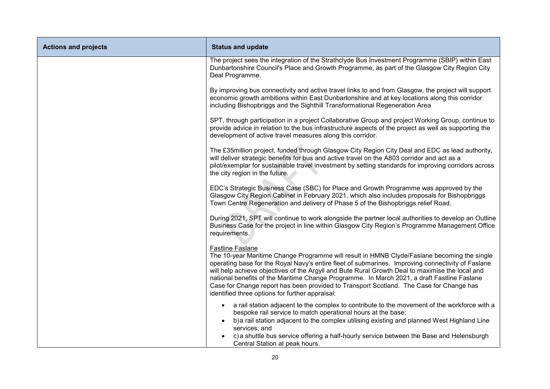| <b>Actions and projects</b> | <b>Status and update</b>                                                                                                                                                                                                                                                                                                                                                                                                                                                                                                                                                    |
|-----------------------------|-----------------------------------------------------------------------------------------------------------------------------------------------------------------------------------------------------------------------------------------------------------------------------------------------------------------------------------------------------------------------------------------------------------------------------------------------------------------------------------------------------------------------------------------------------------------------------|
|                             | The project sees the integration of the Strathclyde Bus Investment Programme (SBIP) within East<br>Dunbartonshire Council's Place and Growth Programme, as part of the Glasgow City Region City<br>Deal Programme.                                                                                                                                                                                                                                                                                                                                                          |
|                             | By improving bus connectivity and active travel links to and from Glasgow, the project will support<br>economic growth ambitions within East Dunbartonshire and at key locations along this corridor<br>including Bishopbriggs and the Sighthill Transformational Regeneration Area                                                                                                                                                                                                                                                                                         |
|                             | SPT, through participation in a project Collaborative Group and project Working Group, continue to<br>provide advice in relation to the bus infrastructure aspects of the project as well as supporting the<br>development of active travel measures along this corridor.                                                                                                                                                                                                                                                                                                   |
|                             | The £35million project, funded through Glasgow City Region City Deal and EDC as lead authority,<br>will deliver strategic benefits for bus and active travel on the A803 corridor and act as a<br>pilot/exemplar for sustainable travel investment by setting standards for improving corridors across<br>the city region in the future.                                                                                                                                                                                                                                    |
|                             | EDC's Strategic Business Case (SBC) for Place and Growth Programme was approved by the<br>Glasgow City Region Cabinet in February 2021, which also includes proposals for Bishopbriggs<br>Town Centre Regeneration and delivery of Phase 5 of the Bishopbriggs relief Road.                                                                                                                                                                                                                                                                                                 |
|                             | During 2021, SPT will continue to work alongside the partner local authorities to develop an Outline<br>Business Case for the project in line within Glasgow City Region's Programme Management Office<br>requirements.                                                                                                                                                                                                                                                                                                                                                     |
|                             | <b>Fastline Faslane</b><br>The 10-year Maritime Change Programme will result in HMNB Clyde/Faslane becoming the single<br>operating base for the Royal Navy's entire fleet of submarines. Improving connectivity of Faslane<br>will help achieve objectives of the Argyll and Bute Rural Growth Deal to maximise the local and<br>national benefits of the Maritime Change Programme. In March 2021, a draft Fastline Faslane<br>Case for Change report has been provided to Transport Scotland. The Case for Change has<br>identified three options for further appraisal: |
|                             | a rail station adjacent to the complex to contribute to the movement of the workforce with a<br>$\bullet$<br>bespoke rail service to match operational hours at the base;<br>b) a rail station adjacent to the complex utilising existing and planned West Highland Line<br>$\bullet$<br>services; and                                                                                                                                                                                                                                                                      |
|                             | c) a shuttle bus service offering a half-hourly service between the Base and Helensburgh<br>Central Station at peak hours.                                                                                                                                                                                                                                                                                                                                                                                                                                                  |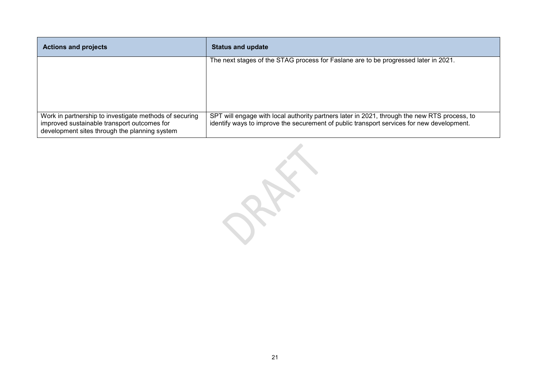| <b>Actions and projects</b>                                                                                                                            | <b>Status and update</b>                                                                                                                                                                  |
|--------------------------------------------------------------------------------------------------------------------------------------------------------|-------------------------------------------------------------------------------------------------------------------------------------------------------------------------------------------|
|                                                                                                                                                        | The next stages of the STAG process for Faslane are to be progressed later in 2021.                                                                                                       |
|                                                                                                                                                        |                                                                                                                                                                                           |
| Work in partnership to investigate methods of securing<br>improved sustainable transport outcomes for<br>development sites through the planning system | SPT will engage with local authority partners later in 2021, through the new RTS process, to<br>identify ways to improve the securement of public transport services for new development. |

SPRACTIC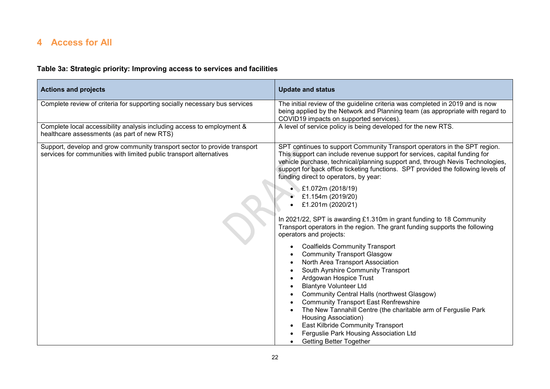#### **4 Access for All**

## **Table 3a: Strategic priority: Improving access to services and facilities**

<span id="page-23-0"></span>

| <b>Actions and projects</b>                                                                                                                      | <b>Update and status</b>                                                                                                                                                                                                                                                                                                                                               |
|--------------------------------------------------------------------------------------------------------------------------------------------------|------------------------------------------------------------------------------------------------------------------------------------------------------------------------------------------------------------------------------------------------------------------------------------------------------------------------------------------------------------------------|
| Complete review of criteria for supporting socially necessary bus services                                                                       | The initial review of the guideline criteria was completed in 2019 and is now<br>being applied by the Network and Planning team (as appropriate with regard to<br>COVID19 impacts on supported services).                                                                                                                                                              |
| Complete local accessibility analysis including access to employment &<br>healthcare assessments (as part of new RTS)                            | A level of service policy is being developed for the new RTS.                                                                                                                                                                                                                                                                                                          |
| Support, develop and grow community transport sector to provide transport<br>services for communities with limited public transport alternatives | SPT continues to support Community Transport operators in the SPT region.<br>This support can include revenue support for services, capital funding for<br>vehicle purchase, technical/planning support and, through Nevis Technologies,<br>support for back office ticketing functions. SPT provided the following levels of<br>funding direct to operators, by year: |
|                                                                                                                                                  | £1.072m (2018/19)<br>£1.154m (2019/20)<br>£1.201m (2020/21)                                                                                                                                                                                                                                                                                                            |
|                                                                                                                                                  | In 2021/22, SPT is awarding £1.310m in grant funding to 18 Community<br>Transport operators in the region. The grant funding supports the following<br>operators and projects:                                                                                                                                                                                         |
|                                                                                                                                                  | <b>Coalfields Community Transport</b><br><b>Community Transport Glasgow</b><br>North Area Transport Association<br>South Ayrshire Community Transport<br>Ardgowan Hospice Trust                                                                                                                                                                                        |
|                                                                                                                                                  | <b>Blantyre Volunteer Ltd</b><br><b>Community Central Halls (northwest Glasgow)</b><br><b>Community Transport East Renfrewshire</b><br>The New Tannahill Centre (the charitable arm of Ferguslie Park                                                                                                                                                                  |
|                                                                                                                                                  | Housing Association)<br><b>East Kilbride Community Transport</b><br>Ferguslie Park Housing Association Ltd                                                                                                                                                                                                                                                             |
|                                                                                                                                                  | <b>Getting Better Together</b>                                                                                                                                                                                                                                                                                                                                         |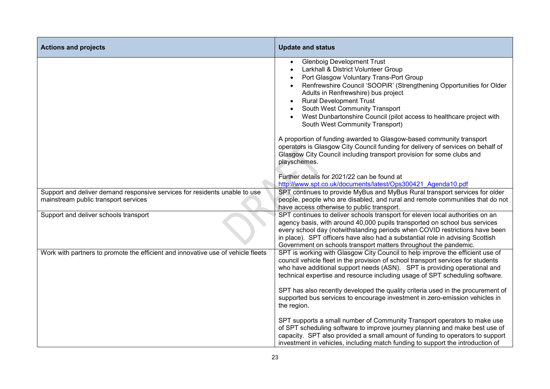| <b>Actions and projects</b>                                                                                        | <b>Update and status</b>                                                                                                                                                                                                                                                                                                                                                                                          |
|--------------------------------------------------------------------------------------------------------------------|-------------------------------------------------------------------------------------------------------------------------------------------------------------------------------------------------------------------------------------------------------------------------------------------------------------------------------------------------------------------------------------------------------------------|
|                                                                                                                    | <b>Glenboig Development Trust</b><br>Larkhall & District Volunteer Group<br>Port Glasgow Voluntary Trans-Port Group<br>Renfrewshire Council 'SOOPiR' (Strengthening Opportunities for Older<br>Adults in Renfrewshire) bus project<br><b>Rural Development Trust</b><br>South West Community Transport<br>West Dunbartonshire Council (pilot access to healthcare project with<br>South West Community Transport) |
|                                                                                                                    | A proportion of funding awarded to Glasgow-based community transport<br>operators is Glasgow City Council funding for delivery of services on behalf of<br>Glasgow City Council including transport provision for some clubs and<br>playschemes.                                                                                                                                                                  |
|                                                                                                                    | Further details for 2021/22 can be found at<br>http://www.spt.co.uk/documents/latest/Ops300421_Agenda10.pdf                                                                                                                                                                                                                                                                                                       |
| Support and deliver demand responsive services for residents unable to use<br>mainstream public transport services | SPT continues to provide MyBus and MyBus Rural transport services for older<br>people, people who are disabled, and rural and remote communities that do not<br>have access otherwise to public transport.                                                                                                                                                                                                        |
| Support and deliver schools transport                                                                              | SPT continues to deliver schools transport for eleven local authorities on an<br>agency basis, with around 40,000 pupils transported on school bus services<br>every school day (notwithstanding periods when COVID restrictions have been<br>in place). SPT officers have also had a substantial role in advising Scottish<br>Government on schools transport matters throughout the pandemic.                   |
| Work with partners to promote the efficient and innovative use of vehicle fleets                                   | SPT is working with Glasgow City Council to help improve the efficient use of<br>council vehicle fleet in the provision of school transport services for students<br>who have additional support needs (ASN). SPT is providing operational and<br>technical expertise and resource including usage of SPT scheduling software.                                                                                    |
|                                                                                                                    | SPT has also recently developed the quality criteria used in the procurement of<br>supported bus services to encourage investment in zero-emission vehicles in<br>the region.                                                                                                                                                                                                                                     |
|                                                                                                                    | SPT supports a small number of Community Transport operators to make use<br>of SPT scheduling software to improve journey planning and make best use of<br>capacity. SPT also provided a small amount of funding to operators to support<br>investment in vehicles, including match funding to support the introduction of                                                                                        |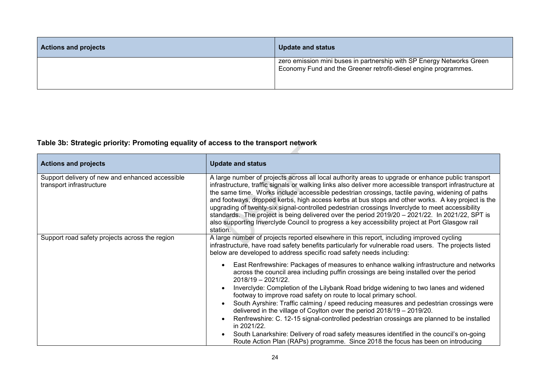| <b>Actions and projects</b> | <b>Update and status</b>                                                                                                                 |
|-----------------------------|------------------------------------------------------------------------------------------------------------------------------------------|
|                             | zero emission mini buses in partnership with SP Energy Networks Green<br>Economy Fund and the Greener retrofit-diesel engine programmes. |

## **Table 3b: Strategic priority: Promoting equality of access to the transport network**

| <b>Actions and projects</b>                                                 | <b>Update and status</b>                                                                                                                                                                                                                                                                                                                                                                                                                                                                                                                                                                                                                                                                                                                                                                                                             |  |
|-----------------------------------------------------------------------------|--------------------------------------------------------------------------------------------------------------------------------------------------------------------------------------------------------------------------------------------------------------------------------------------------------------------------------------------------------------------------------------------------------------------------------------------------------------------------------------------------------------------------------------------------------------------------------------------------------------------------------------------------------------------------------------------------------------------------------------------------------------------------------------------------------------------------------------|--|
| Support delivery of new and enhanced accessible<br>transport infrastructure | A large number of projects across all local authority areas to upgrade or enhance public transport<br>infrastructure, traffic signals or walking links also deliver more accessible transport infrastructure at<br>the same time. Works include accessible pedestrian crossings, tactile paving, widening of paths<br>and footways, dropped kerbs, high access kerbs at bus stops and other works. A key project is the<br>upgrading of twenty-six signal-controlled pedestrian crossings Inverclyde to meet accessibility<br>standards. The project is being delivered over the period 2019/20 - 2021/22. In 2021/22, SPT is<br>also supporting Inverclyde Council to progress a key accessibility project at Port Glasgow rail<br>station.                                                                                         |  |
| Support road safety projects across the region                              | A large number of projects reported elsewhere in this report, including improved cycling<br>infrastructure, have road safety benefits particularly for vulnerable road users. The projects listed<br>below are developed to address specific road safety needs including:                                                                                                                                                                                                                                                                                                                                                                                                                                                                                                                                                            |  |
|                                                                             | East Renfrewshire: Packages of measures to enhance walking infrastructure and networks<br>across the council area including puffin crossings are being installed over the period<br>$2018/19 - 2021/22$<br>Inverclyde: Completion of the Lilybank Road bridge widening to two lanes and widened<br>footway to improve road safety on route to local primary school.<br>South Ayrshire: Traffic calming / speed reducing measures and pedestrian crossings were<br>delivered in the village of Coylton over the period 2018/19 - 2019/20.<br>Renfrewshire: C. 12-15 signal-controlled pedestrian crossings are planned to be installed<br>in 2021/22.<br>South Lanarkshire: Delivery of road safety measures identified in the council's on-going<br>Route Action Plan (RAPs) programme. Since 2018 the focus has been on introducing |  |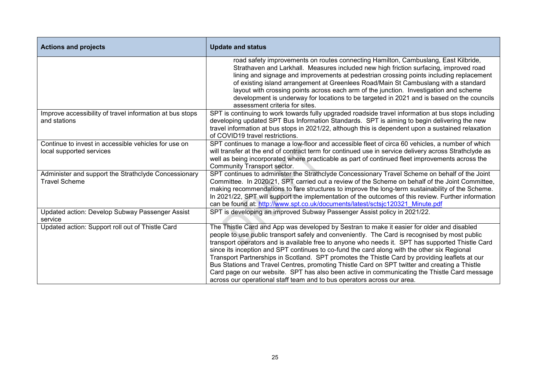| <b>Actions and projects</b>                                                      | <b>Update and status</b>                                                                                                                                                                                                                                                                                                                                                                                                                                                                                                                                                                                                                                                                                                                                                     |
|----------------------------------------------------------------------------------|------------------------------------------------------------------------------------------------------------------------------------------------------------------------------------------------------------------------------------------------------------------------------------------------------------------------------------------------------------------------------------------------------------------------------------------------------------------------------------------------------------------------------------------------------------------------------------------------------------------------------------------------------------------------------------------------------------------------------------------------------------------------------|
|                                                                                  | road safety improvements on routes connecting Hamilton, Cambuslang, East Kilbride,<br>Strathaven and Larkhall. Measures included new high friction surfacing, improved road<br>lining and signage and improvements at pedestrian crossing points including replacement<br>of existing island arrangement at Greenlees Road/Main St Cambuslang with a standard<br>layout with crossing points across each arm of the junction. Investigation and scheme<br>development is underway for locations to be targeted in 2021 and is based on the councils<br>assessment criteria for sites.                                                                                                                                                                                        |
| Improve accessibility of travel information at bus stops<br>and stations         | SPT is continuing to work towards fully upgraded roadside travel information at bus stops including<br>developing updated SPT Bus Information Standards. SPT is aiming to begin delivering the new<br>travel information at bus stops in 2021/22, although this is dependent upon a sustained relaxation<br>of COVID19 travel restrictions.                                                                                                                                                                                                                                                                                                                                                                                                                                  |
| Continue to invest in accessible vehicles for use on<br>local supported services | SPT continues to manage a low-floor and accessible fleet of circa 60 vehicles, a number of which<br>will transfer at the end of contract term for continued use in service delivery across Strathclyde as<br>well as being incorporated where practicable as part of continued fleet improvements across the<br>Community Transport sector.                                                                                                                                                                                                                                                                                                                                                                                                                                  |
| Administer and support the Strathclyde Concessionary<br><b>Travel Scheme</b>     | SPT continues to administer the Strathclyde Concessionary Travel Scheme on behalf of the Joint<br>Committee. In 2020/21, SPT carried out a review of the Scheme on behalf of the Joint Committee,<br>making recommendations to fare structures to improve the long-term sustainability of the Scheme.<br>In 2021/22, SPT will support the implementation of the outcomes of this review. Further information<br>can be found at: http://www.spt.co.uk/documents/latest/sctsjc120321 Minute.pdf                                                                                                                                                                                                                                                                               |
| <b>Updated action: Develop Subway Passenger Assist</b><br>service                | SPT is developing an improved Subway Passenger Assist policy in 2021/22.                                                                                                                                                                                                                                                                                                                                                                                                                                                                                                                                                                                                                                                                                                     |
| Updated action: Support roll out of Thistle Card                                 | The Thistle Card and App was developed by Sestran to make it easier for older and disabled<br>people to use public transport safely and conveniently. The Card is recognised by most public<br>transport operators and is available free to anyone who needs it. SPT has supported Thistle Card<br>since its inception and SPT continues to co-fund the card along with the other six Regional<br>Transport Partnerships in Scotland. SPT promotes the Thistle Card by providing leaflets at our<br>Bus Stations and Travel Centres, promoting Thistle Card on SPT twitter and creating a Thistle<br>Card page on our website. SPT has also been active in communicating the Thistle Card message<br>across our operational staff team and to bus operators across our area. |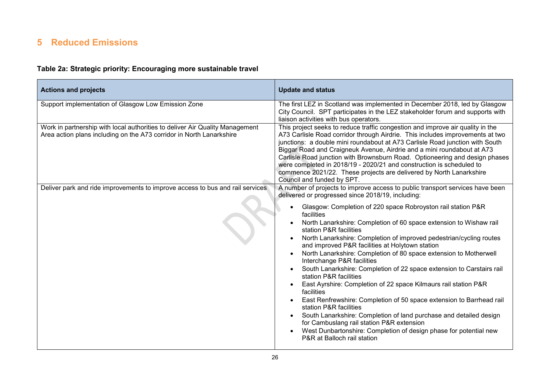### **5 Reduced Emissions**

## **Table 2a: Strategic priority: Encouraging more sustainable travel**

<span id="page-27-0"></span>

| <b>Actions and projects</b>                                                                                                                          | <b>Update and status</b>                                                                                                                                                                                                                                                                                                                                                                                                                                                                                                                                                                                                                                                                                                                                                                                                                                                                                                                                                                                                                                   |
|------------------------------------------------------------------------------------------------------------------------------------------------------|------------------------------------------------------------------------------------------------------------------------------------------------------------------------------------------------------------------------------------------------------------------------------------------------------------------------------------------------------------------------------------------------------------------------------------------------------------------------------------------------------------------------------------------------------------------------------------------------------------------------------------------------------------------------------------------------------------------------------------------------------------------------------------------------------------------------------------------------------------------------------------------------------------------------------------------------------------------------------------------------------------------------------------------------------------|
| Support implementation of Glasgow Low Emission Zone                                                                                                  | The first LEZ in Scotland was implemented in December 2018, led by Glasgow<br>City Council. SPT participates in the LEZ stakeholder forum and supports with<br>liaison activities with bus operators.                                                                                                                                                                                                                                                                                                                                                                                                                                                                                                                                                                                                                                                                                                                                                                                                                                                      |
| Work in partnership with local authorities to deliver Air Quality Management<br>Area action plans including on the A73 corridor in North Lanarkshire | This project seeks to reduce traffic congestion and improve air quality in the<br>A73 Carlisle Road corridor through Airdrie. This includes improvements at two<br>junctions: a double mini roundabout at A73 Carlisle Road junction with South<br>Biggar Road and Craigneuk Avenue, Airdrie and a mini roundabout at A73<br>Carlisle Road junction with Brownsburn Road. Optioneering and design phases<br>were completed in 2018/19 - 2020/21 and construction is scheduled to<br>commence 2021/22. These projects are delivered by North Lanarkshire<br>Council and funded by SPT.                                                                                                                                                                                                                                                                                                                                                                                                                                                                      |
| Deliver park and ride improvements to improve access to bus and rail services                                                                        | A number of projects to improve access to public transport services have been<br>delivered or progressed since 2018/19, including:<br>Glasgow: Completion of 220 space Robroyston rail station P&R<br>facilities<br>North Lanarkshire: Completion of 60 space extension to Wishaw rail<br>station P&R facilities<br>North Lanarkshire: Completion of improved pedestrian/cycling routes<br>and improved P&R facilities at Holytown station<br>North Lanarkshire: Completion of 80 space extension to Motherwell<br>Interchange P&R facilities<br>South Lanarkshire: Completion of 22 space extension to Carstairs rail<br>station P&R facilities<br>East Ayrshire: Completion of 22 space Kilmaurs rail station P&R<br>facilities<br>East Renfrewshire: Completion of 50 space extension to Barrhead rail<br>station P&R facilities<br>South Lanarkshire: Completion of land purchase and detailed design<br>for Cambuslang rail station P&R extension<br>West Dunbartonshire: Completion of design phase for potential new<br>P&R at Balloch rail station |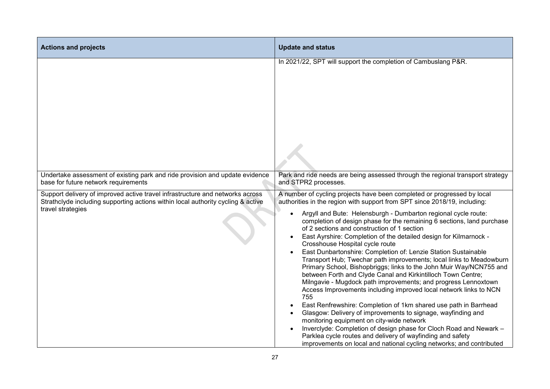| <b>Actions and projects</b>                                                                                                                                                            | <b>Update and status</b>                                                                                                                                                                                                                                                                                                                                                                                                                                                                                                                                                                                                                                                                                                                                                                                                                                                                                                                                                                                                                                                                                                                                                                                                                                                           |
|----------------------------------------------------------------------------------------------------------------------------------------------------------------------------------------|------------------------------------------------------------------------------------------------------------------------------------------------------------------------------------------------------------------------------------------------------------------------------------------------------------------------------------------------------------------------------------------------------------------------------------------------------------------------------------------------------------------------------------------------------------------------------------------------------------------------------------------------------------------------------------------------------------------------------------------------------------------------------------------------------------------------------------------------------------------------------------------------------------------------------------------------------------------------------------------------------------------------------------------------------------------------------------------------------------------------------------------------------------------------------------------------------------------------------------------------------------------------------------|
|                                                                                                                                                                                        | In 2021/22, SPT will support the completion of Cambuslang P&R.                                                                                                                                                                                                                                                                                                                                                                                                                                                                                                                                                                                                                                                                                                                                                                                                                                                                                                                                                                                                                                                                                                                                                                                                                     |
| Undertake assessment of existing park and ride provision and update evidence<br>base for future network requirements                                                                   | Park and ride needs are being assessed through the regional transport strategy<br>and STPR2 processes.                                                                                                                                                                                                                                                                                                                                                                                                                                                                                                                                                                                                                                                                                                                                                                                                                                                                                                                                                                                                                                                                                                                                                                             |
| Support delivery of improved active travel infrastructure and networks across<br>Strathclyde including supporting actions within local authority cycling & active<br>travel strategies | A number of cycling projects have been completed or progressed by local<br>authorities in the region with support from SPT since 2018/19, including:<br>Argyll and Bute: Helensburgh - Dumbarton regional cycle route:<br>completion of design phase for the remaining 6 sections, land purchase<br>of 2 sections and construction of 1 section<br>East Ayrshire: Completion of the detailed design for Kilmarnock -<br>Crosshouse Hospital cycle route<br>East Dunbartonshire: Completion of: Lenzie Station Sustainable<br>Transport Hub; Twechar path improvements; local links to Meadowburn<br>Primary School, Bishopbriggs; links to the John Muir Way/NCN755 and<br>between Forth and Clyde Canal and Kirkintilloch Town Centre;<br>Milngavie - Mugdock path improvements; and progress Lennoxtown<br>Access Improvements including improved local network links to NCN<br>755<br>East Renfrewshire: Completion of 1km shared use path in Barrhead<br>Glasgow: Delivery of improvements to signage, wayfinding and<br>monitoring equipment on city-wide network<br>Inverclyde: Completion of design phase for Cloch Road and Newark -<br>Parklea cycle routes and delivery of wayfinding and safety<br>improvements on local and national cycling networks; and contributed |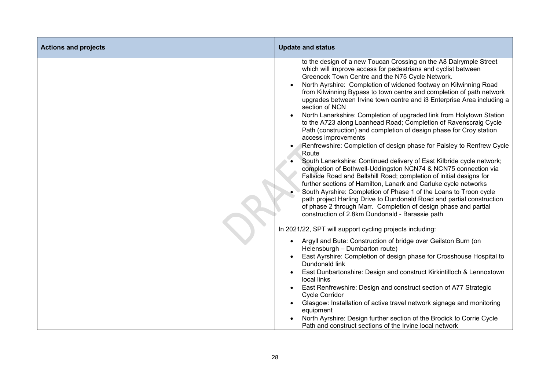| <b>Actions and projects</b> | <b>Update and status</b>                                                                                                                                                                                                                                                                                                                                                                                                                                                                                                                                                                                                                                                                                                                                                                                                                                                                                                                                                                                                                                                                                                                                                                                                                                                                                                                                                                                                                                                                                                                                                                                                                                                                                                                                                                                                                                                                                                                                                              |
|-----------------------------|---------------------------------------------------------------------------------------------------------------------------------------------------------------------------------------------------------------------------------------------------------------------------------------------------------------------------------------------------------------------------------------------------------------------------------------------------------------------------------------------------------------------------------------------------------------------------------------------------------------------------------------------------------------------------------------------------------------------------------------------------------------------------------------------------------------------------------------------------------------------------------------------------------------------------------------------------------------------------------------------------------------------------------------------------------------------------------------------------------------------------------------------------------------------------------------------------------------------------------------------------------------------------------------------------------------------------------------------------------------------------------------------------------------------------------------------------------------------------------------------------------------------------------------------------------------------------------------------------------------------------------------------------------------------------------------------------------------------------------------------------------------------------------------------------------------------------------------------------------------------------------------------------------------------------------------------------------------------------------------|
|                             | to the design of a new Toucan Crossing on the A8 Dalrymple Street<br>which will improve access for pedestrians and cyclist between<br>Greenock Town Centre and the N75 Cycle Network.<br>North Ayrshire: Completion of widened footway on Kilwinning Road<br>from Kilwinning Bypass to town centre and completion of path network<br>upgrades between Irvine town centre and i3 Enterprise Area including a<br>section of NCN<br>North Lanarkshire: Completion of upgraded link from Holytown Station<br>to the A723 along Loanhead Road; Completion of Ravenscraig Cycle<br>Path (construction) and completion of design phase for Croy station<br>access improvements<br>Renfrewshire: Completion of design phase for Paisley to Renfrew Cycle<br>Route<br>South Lanarkshire: Continued delivery of East Kilbride cycle network;<br>completion of Bothwell-Uddingston NCN74 & NCN75 connection via<br>Fallside Road and Bellshill Road; completion of initial designs for<br>further sections of Hamilton, Lanark and Carluke cycle networks<br>South Ayrshire: Completion of Phase 1 of the Loans to Troon cycle<br>path project Harling Drive to Dundonald Road and partial construction<br>of phase 2 through Marr. Completion of design phase and partial<br>construction of 2.8km Dundonald - Barassie path<br>In 2021/22, SPT will support cycling projects including:<br>• Argyll and Bute: Construction of bridge over Geilston Burn (on<br>Helensburgh - Dumbarton route)<br>East Ayrshire: Completion of design phase for Crosshouse Hospital to<br>Dundonald link<br>East Dunbartonshire: Design and construct Kirkintilloch & Lennoxtown<br>local links<br>East Renfrewshire: Design and construct section of A77 Strategic<br>Cycle Corridor<br>Glasgow: Installation of active travel network signage and monitoring<br>equipment<br>North Ayrshire: Design further section of the Brodick to Corrie Cycle<br>Path and construct sections of the Irvine local network |